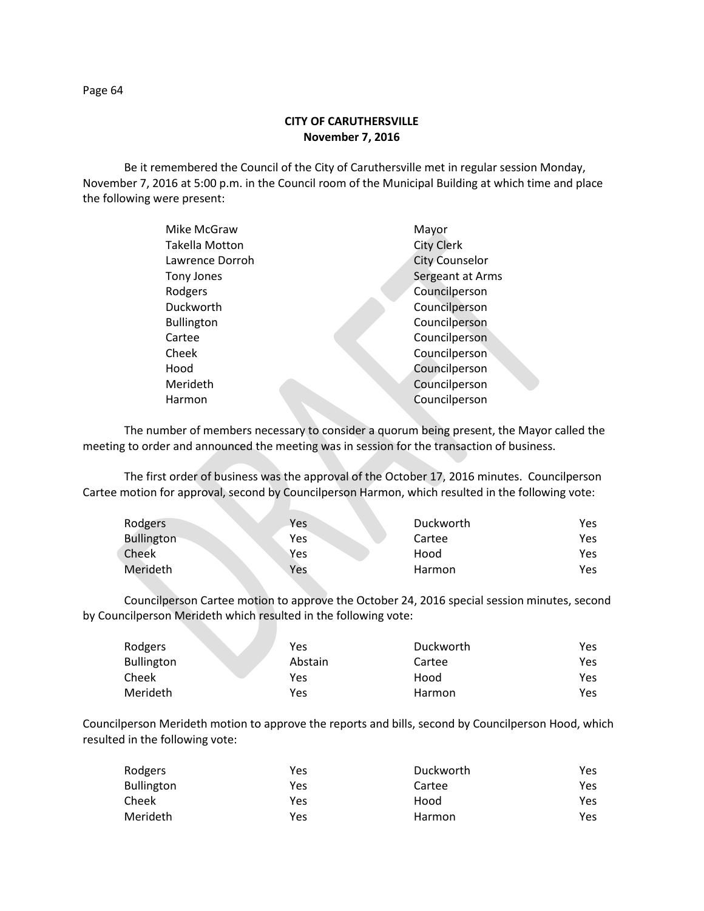**CITY OF CARUTHERSVILLE November 7, 2016**

Be it remembered the Council of the City of Caruthersville met in regular session Monday, November 7, 2016 at 5:00 p.m. in the Council room of the Municipal Building at which time and place the following were present:

| Mike McGraw           | Mayor                 |
|-----------------------|-----------------------|
| <b>Takella Motton</b> | <b>City Clerk</b>     |
| Lawrence Dorroh       | <b>City Counselor</b> |
| Tony Jones            | Sergeant at Arms      |
| Rodgers               | Councilperson         |
| Duckworth             | Councilperson         |
| <b>Bullington</b>     | Councilperson         |
| Cartee                | Councilperson         |
| Cheek                 | Councilperson         |
| Hood                  | Councilperson         |
| Merideth              | Councilperson         |
| Harmon                | Councilperson         |
|                       |                       |

The number of members necessary to consider a quorum being present, the Mayor called the meeting to order and announced the meeting was in session for the transaction of business.

The first order of business was the approval of the October 17, 2016 minutes. Councilperson Cartee motion for approval, second by Councilperson Harmon, which resulted in the following vote:

N.

| Rodgers    | Yes | Duckworth | Yes. |
|------------|-----|-----------|------|
| Bullington | Yes | Cartee    | Yes. |
| Cheek      | Yes | Hood      | Yes. |
| Merideth   | Yes | Harmon    | Yes. |

Councilperson Cartee motion to approve the October 24, 2016 special session minutes, second by Councilperson Merideth which resulted in the following vote:

| Rodgers           | Yes     | Duckworth | Yes |
|-------------------|---------|-----------|-----|
| <b>Bullington</b> | Abstain | Cartee    | Yes |
| Cheek             | Yes     | Hood      | Yes |
| Merideth          | Yes     | Harmon    | Yes |

Councilperson Merideth motion to approve the reports and bills, second by Councilperson Hood, which resulted in the following vote:

| Rodgers           | Yes | Duckworth | Yes |
|-------------------|-----|-----------|-----|
| <b>Bullington</b> | Yes | Cartee    | Yes |
| Cheek             | Yes | Hood      | Yes |
| Merideth          | Yes | Harmon    | Yes |

Page 64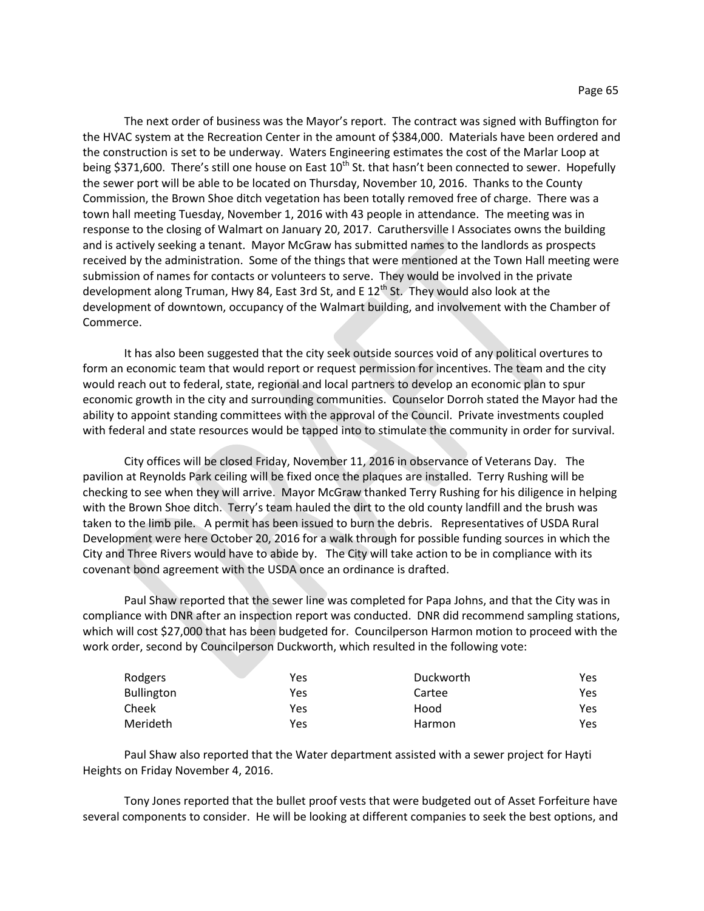The next order of business was the Mayor's report. The contract was signed with Buffington for the HVAC system at the Recreation Center in the amount of \$384,000. Materials have been ordered and the construction is set to be underway. Waters Engineering estimates the cost of the Marlar Loop at being \$371,600. There's still one house on East  $10^{th}$  St. that hasn't been connected to sewer. Hopefully the sewer port will be able to be located on Thursday, November 10, 2016. Thanks to the County Commission, the Brown Shoe ditch vegetation has been totally removed free of charge. There was a town hall meeting Tuesday, November 1, 2016 with 43 people in attendance. The meeting was in response to the closing of Walmart on January 20, 2017. Caruthersville I Associates owns the building and is actively seeking a tenant. Mayor McGraw has submitted names to the landlords as prospects received by the administration. Some of the things that were mentioned at the Town Hall meeting were submission of names for contacts or volunteers to serve. They would be involved in the private development along Truman, Hwy 84, East 3rd St, and E  $12<sup>th</sup>$  St. They would also look at the development of downtown, occupancy of the Walmart building, and involvement with the Chamber of Commerce.

It has also been suggested that the city seek outside sources void of any political overtures to form an economic team that would report or request permission for incentives. The team and the city would reach out to federal, state, regional and local partners to develop an economic plan to spur economic growth in the city and surrounding communities. Counselor Dorroh stated the Mayor had the ability to appoint standing committees with the approval of the Council. Private investments coupled with federal and state resources would be tapped into to stimulate the community in order for survival.

City offices will be closed Friday, November 11, 2016 in observance of Veterans Day. The pavilion at Reynolds Park ceiling will be fixed once the plaques are installed. Terry Rushing will be checking to see when they will arrive. Mayor McGraw thanked Terry Rushing for his diligence in helping with the Brown Shoe ditch. Terry's team hauled the dirt to the old county landfill and the brush was taken to the limb pile. A permit has been issued to burn the debris. Representatives of USDA Rural Development were here October 20, 2016 for a walk through for possible funding sources in which the City and Three Rivers would have to abide by. The City will take action to be in compliance with its covenant bond agreement with the USDA once an ordinance is drafted.

Paul Shaw reported that the sewer line was completed for Papa Johns, and that the City was in compliance with DNR after an inspection report was conducted. DNR did recommend sampling stations, which will cost \$27,000 that has been budgeted for. Councilperson Harmon motion to proceed with the work order, second by Councilperson Duckworth, which resulted in the following vote:

| Rodgers    | Yes | Duckworth | Yes |
|------------|-----|-----------|-----|
| Bullington | Yes | Cartee    | Yes |
| Cheek      | Yes | Hood      | Yes |
| Merideth   | Yes | Harmon    | Yes |

Paul Shaw also reported that the Water department assisted with a sewer project for Hayti Heights on Friday November 4, 2016.

Tony Jones reported that the bullet proof vests that were budgeted out of Asset Forfeiture have several components to consider. He will be looking at different companies to seek the best options, and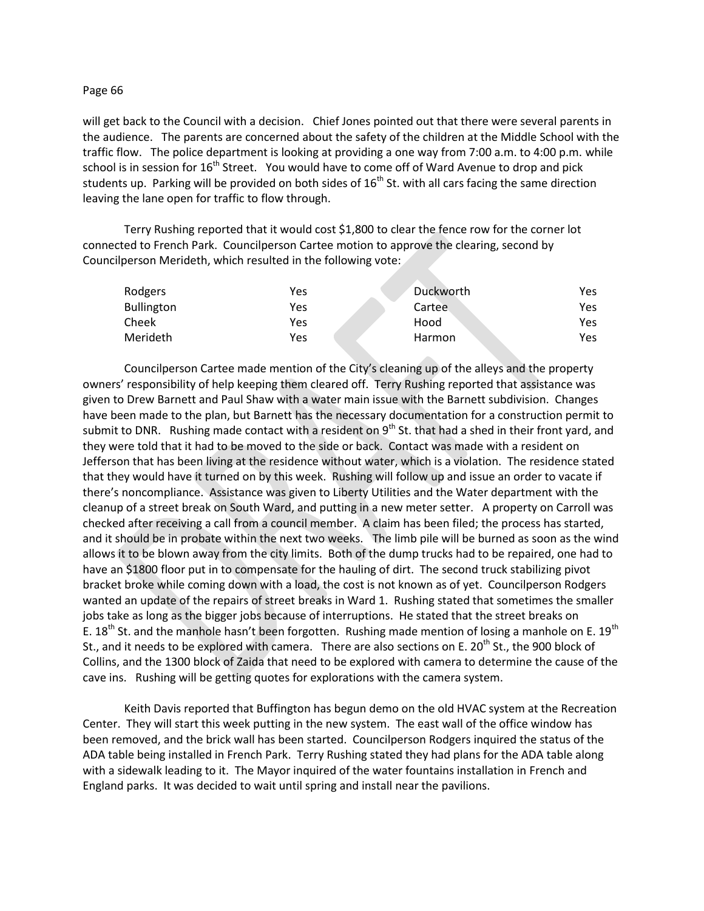## Page 66

will get back to the Council with a decision. Chief Jones pointed out that there were several parents in the audience. The parents are concerned about the safety of the children at the Middle School with the traffic flow. The police department is looking at providing a one way from 7:00 a.m. to 4:00 p.m. while school is in session for  $16<sup>th</sup>$  Street. You would have to come off of Ward Avenue to drop and pick students up. Parking will be provided on both sides of  $16<sup>th</sup>$  St. with all cars facing the same direction leaving the lane open for traffic to flow through.

Terry Rushing reported that it would cost \$1,800 to clear the fence row for the corner lot connected to French Park. Councilperson Cartee motion to approve the clearing, second by Councilperson Merideth, which resulted in the following vote:

| Rodgers           | Yes | Duckworth | Yes. |
|-------------------|-----|-----------|------|
| <b>Bullington</b> | Yes | Cartee    | Yes. |
| Cheek             | Yes | Hood      | Yes. |
| Merideth          | Yes | Harmon    | Yes. |

Councilperson Cartee made mention of the City's cleaning up of the alleys and the property owners' responsibility of help keeping them cleared off. Terry Rushing reported that assistance was given to Drew Barnett and Paul Shaw with a water main issue with the Barnett subdivision. Changes have been made to the plan, but Barnett has the necessary documentation for a construction permit to submit to DNR. Rushing made contact with a resident on 9<sup>th</sup> St. that had a shed in their front yard, and they were told that it had to be moved to the side or back. Contact was made with a resident on Jefferson that has been living at the residence without water, which is a violation. The residence stated that they would have it turned on by this week. Rushing will follow up and issue an order to vacate if there's noncompliance. Assistance was given to Liberty Utilities and the Water department with the cleanup of a street break on South Ward, and putting in a new meter setter. A property on Carroll was checked after receiving a call from a council member. A claim has been filed; the process has started, and it should be in probate within the next two weeks. The limb pile will be burned as soon as the wind allows it to be blown away from the city limits. Both of the dump trucks had to be repaired, one had to have an \$1800 floor put in to compensate for the hauling of dirt. The second truck stabilizing pivot bracket broke while coming down with a load, the cost is not known as of yet. Councilperson Rodgers wanted an update of the repairs of street breaks in Ward 1. Rushing stated that sometimes the smaller jobs take as long as the bigger jobs because of interruptions. He stated that the street breaks on E. 18<sup>th</sup> St. and the manhole hasn't been forgotten. Rushing made mention of losing a manhole on E. 19<sup>th</sup> St., and it needs to be explored with camera. There are also sections on E. 20<sup>th</sup> St., the 900 block of Collins, and the 1300 block of Zaida that need to be explored with camera to determine the cause of the cave ins. Rushing will be getting quotes for explorations with the camera system.

Keith Davis reported that Buffington has begun demo on the old HVAC system at the Recreation Center. They will start this week putting in the new system. The east wall of the office window has been removed, and the brick wall has been started. Councilperson Rodgers inquired the status of the ADA table being installed in French Park. Terry Rushing stated they had plans for the ADA table along with a sidewalk leading to it. The Mayor inquired of the water fountains installation in French and England parks. It was decided to wait until spring and install near the pavilions.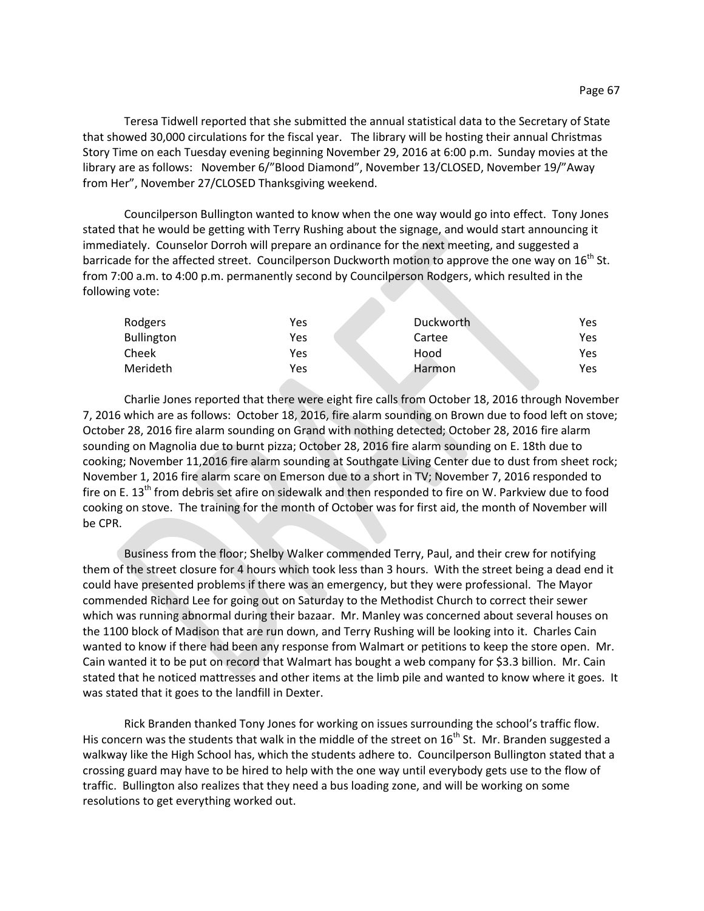Teresa Tidwell reported that she submitted the annual statistical data to the Secretary of State that showed 30,000 circulations for the fiscal year. The library will be hosting their annual Christmas Story Time on each Tuesday evening beginning November 29, 2016 at 6:00 p.m. Sunday movies at the library are as follows: November 6/"Blood Diamond", November 13/CLOSED, November 19/"Away from Her", November 27/CLOSED Thanksgiving weekend.

Councilperson Bullington wanted to know when the one way would go into effect. Tony Jones stated that he would be getting with Terry Rushing about the signage, and would start announcing it immediately. Counselor Dorroh will prepare an ordinance for the next meeting, and suggested a barricade for the affected street. Councilperson Duckworth motion to approve the one way on 16<sup>th</sup> St. from 7:00 a.m. to 4:00 p.m. permanently second by Councilperson Rodgers, which resulted in the following vote:

| Rodgers           | Yes | Duckworth | Yes |
|-------------------|-----|-----------|-----|
| <b>Bullington</b> | Yes | Cartee    | Yes |
| Cheek             | Yes | Hood      | Yes |
| Merideth          | Yes | Harmon    | Yes |

Charlie Jones reported that there were eight fire calls from October 18, 2016 through November 7, 2016 which are as follows: October 18, 2016, fire alarm sounding on Brown due to food left on stove; October 28, 2016 fire alarm sounding on Grand with nothing detected; October 28, 2016 fire alarm sounding on Magnolia due to burnt pizza; October 28, 2016 fire alarm sounding on E. 18th due to cooking; November 11,2016 fire alarm sounding at Southgate Living Center due to dust from sheet rock; November 1, 2016 fire alarm scare on Emerson due to a short in TV; November 7, 2016 responded to fire on E. 13<sup>th</sup> from debris set afire on sidewalk and then responded to fire on W. Parkview due to food cooking on stove. The training for the month of October was for first aid, the month of November will be CPR.

Business from the floor; Shelby Walker commended Terry, Paul, and their crew for notifying them of the street closure for 4 hours which took less than 3 hours. With the street being a dead end it could have presented problems if there was an emergency, but they were professional. The Mayor commended Richard Lee for going out on Saturday to the Methodist Church to correct their sewer which was running abnormal during their bazaar. Mr. Manley was concerned about several houses on the 1100 block of Madison that are run down, and Terry Rushing will be looking into it. Charles Cain wanted to know if there had been any response from Walmart or petitions to keep the store open. Mr. Cain wanted it to be put on record that Walmart has bought a web company for \$3.3 billion. Mr. Cain stated that he noticed mattresses and other items at the limb pile and wanted to know where it goes. It was stated that it goes to the landfill in Dexter.

Rick Branden thanked Tony Jones for working on issues surrounding the school's traffic flow. His concern was the students that walk in the middle of the street on  $16<sup>th</sup>$  St. Mr. Branden suggested a walkway like the High School has, which the students adhere to. Councilperson Bullington stated that a crossing guard may have to be hired to help with the one way until everybody gets use to the flow of traffic. Bullington also realizes that they need a bus loading zone, and will be working on some resolutions to get everything worked out.